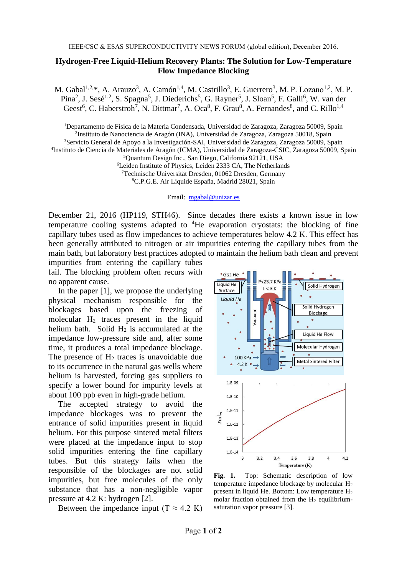## **Hydrogen-Free Liquid-Helium Recovery Plants: The Solution for Low-Temperature Flow Impedance Blocking**

M. Gabal<sup>1,2,\*</sup>, A. Arauzo<sup>3</sup>, A. Camón<sup>1,4</sup>, M. Castrillo<sup>3</sup>, E. Guerrero<sup>3</sup>, M. P. Lozano<sup>1,2</sup>, M. P. Pina<sup>2</sup>, J. Sesé<sup>1,2</sup>, S. Spagna<sup>5</sup>, J. Diederichs<sup>5</sup>, G. Rayner<sup>5</sup>, J. Sloan<sup>5</sup>, F. Galli<sup>6</sup>, W. van der Geest<sup>6</sup>, C. Haberstroh<sup>7</sup>, N. Dittmar<sup>7</sup>, A. Oca<sup>8</sup>, F. Grau<sup>8</sup>, A. Fernandes<sup>8</sup>, and C. Rillo<sup>1,4</sup>

<sup>1</sup>Departamento de Física de la Materia Condensada, Universidad de Zaragoza, Zaragoza 50009, Spain

2 Instituto de Nanociencia de Aragón (INA), Universidad de Zaragoza, Zaragoza 50018, Spain

<sup>3</sup>Servicio General de Apoyo a la Investigación-SAI, Universidad de Zaragoza, Zaragoza 50009, Spain 4 Instituto de Ciencia de Materiales de Aragón (ICMA), Universidad de Zaragoza-CSIC, Zaragoza 50009, Spain

<sup>7</sup>Technische Universität Dresden, 01062 Dresden, Germany

<sup>8</sup>C.P.G.E. Air Liquide España, Madrid 28021, Spain

Email: [mgabal@unizar.es](mailto:mgabal@unizar.es)

December 21, 2016 (HP119, STH46). Since decades there exists a known issue in low temperature cooling systems adapted to  ${}^{4}$ He evaporation cryostats: the blocking of fine capillary tubes used as flow impedances to achieve temperatures below 4.2 K. This effect has been generally attributed to nitrogen or air impurities entering the capillary tubes from the main bath, but laboratory best practices adopted to maintain the helium bath clean and prevent

impurities from entering the capillary tubes fail. The blocking problem often recurs with no apparent cause.

In the paper [1], we propose the underlying physical mechanism responsible for the blockages based upon the freezing of molecular H<sup>2</sup> traces present in the liquid helium bath. Solid  $H_2$  is accumulated at the impedance low-pressure side and, after some time, it produces a total impedance blockage. The presence of  $H_2$  traces is unavoidable due to its occurrence in the natural gas wells where helium is harvested, forcing gas suppliers to specify a lower bound for impurity levels at about 100 ppb even in high-grade helium.

The accepted strategy to avoid the impedance blockages was to prevent the entrance of solid impurities present in liquid helium. For this purpose sintered metal filters were placed at the impedance input to stop solid impurities entering the fine capillary tubes. But this strategy fails when the responsible of the blockages are not solid impurities, but free molecules of the only substance that has a non-negligible vapor pressure at 4.2 K: hydrogen [2].

Between the impedance input  $(T \approx 4.2 \text{ K})$ 



**Fig. 1.** Top: Schematic description of low temperature impedance blockage by molecular  $H_2$ present in liquid He. Bottom: Low temperature  $H_2$ molar fraction obtained from the  $H_2$  equilibriumsaturation vapor pressure [3].

<sup>5</sup>Quantum Design Inc., San Diego, California 92121, USA

<sup>6</sup>Leiden Institute of Physics, Leiden 2333 CA, The Netherlands